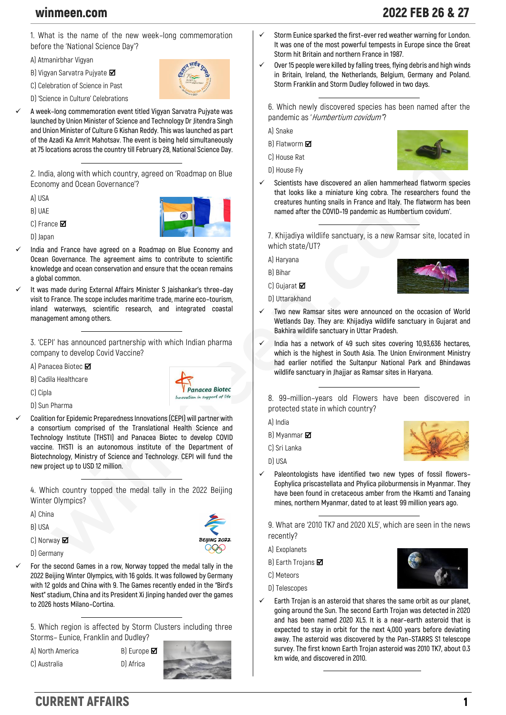winmeen.com 2022 FEB 26 & 27

**1. What is the name of the new week–long commemoration before the 'National Science Day'?**

**A) Atmanirbhar Vigyan**

**B) Vigyan Sarvatra Pujyate**

**C) Celebration of Science in Past**

**D) 'Science in Culture' Celebrations**

✓ **A week–long commemoration event titled Vigyan Sarvatra Pujyate was launched by Union Minister of Science and Technology Dr Jitendra Singh and Union Minister of Culture G Kishan Reddy. This was launched as part of the Azadi Ka Amrit Mahotsav. The event is being held simultaneously at 75 locations across the country till February 28, National Science Day.**

**2. India, along with which country, agreed on 'Roadmap on Blue Economy and Ocean Governance'?**

**A) USA**

**B) UAE**

**C) France**

**D) Japan**

- 
- ✓ **India and France have agreed on a Roadmap on Blue Economy and Ocean Governance. The agreement aims to contribute to scientific knowledge and ocean conservation and ensure that the ocean remains a global common.**
- ✓ **It was made during External Affairs Minister S Jaishankar's three–day visit to France. The scope includes maritime trade, marine eco–tourism, inland waterways, scientific research, and integrated coastal management among others.**

**3. 'CEPI' has announced partnership with which Indian pharma company to develop Covid Vaccine?**

**A) Panacea Biotec**

**B) Cadila Healthcare**



- **D) Sun Pharma**
- ✓ **Coalition for Epidemic Preparedness Innovations (CEPI) will partner with a consortium comprised of the Translational Health Science and Technology Institute (THSTI) and Panacea Biotec to develop COVID vaccine. THSTI is an autonomous institute of the Department of Biotechnology, Ministry of Science and Technology. CEPI will fund the new project up to USD 12 million.**

**4. Which country topped the medal tally in the 2022 Beijing Winter Olympics?**

- **A) China**
- **B) USA**
- **C) Norway**
- **D) Germany**



Panacea Biotec in support of life

✓ **For the second Games in a row, Norway topped the medal tally in the 2022 Beijing Winter Olympics, with 16 golds. It was followed by Germany with 12 golds and China with 9. The Games recently ended in the "Bird's Nest" stadium, China and its President Xi Jinping handed over the games to 2026 hosts Milano–Cortina.**

**5. Which region is affected by Storm Clusters including three Storms– Eunice, Franklin and Dudley?**

**A) North America B) Europe**

**C) Australia D) Africa**



- ✓ **Storm Eunice sparked the first–ever red weather warning for London. It was one of the most powerful tempests in Europe since the Great Storm hit Britain and northern France in 1987.**
- Over 15 people were killed by falling trees, flying debris and high winds **in Britain, Ireland, the Netherlands, Belgium, Germany and Poland. Storm Franklin and Storm Dudley followed in two days.**

**6. Which newly discovered species has been named after the pandemic as 'Humbertium covidum''?**

**A) Snake**

**B) Flatworm** 

**C) House Rat**





✓ **Scientists have discovered an alien hammerhead flatworm species that looks like a miniature king cobra. The researchers found the creatures hunting snails in France and Italy. The flatworm has been named after the COVID–19 pandemic as Humbertium covidum'.**

**7. Khijadiya wildlife sanctuary, is a new Ramsar site, located in which state/UT?**

**A) Haryana**

**B) Bihar**

**C) Gujarat** 

**D) Uttarakhand**



- ✓ **Two new Ramsar sites were announced on the occasion of World Wetlands Day. They are: Khijadiya wildlife sanctuary in Gujarat and Bakhira wildlife sanctuary in Uttar Pradesh.**
- ✓ **India has a network of 49 such sites covering 10,93,636 hectares, which is the highest in South Asia. The Union Environment Ministry had earlier notified the Sultanpur National Park and Bhindawas wildlife sanctuary in Jhajjar as Ramsar sites in Haryana.**

**8. 99–million–years old Flowers have been discovered in protected state in which country?**

**A) India**

**B) Myanmar**

**C) Sri Lanka**

**D) USA**

- 
- ✓ **Paleontologists have identified two new types of fossil flowers– Eophylica priscastellata and Phylica piloburmensis in Myanmar. They have been found in cretaceous amber from the Hkamti and Tanaing mines, northern Myanmar, dated to at least 99 million years ago.**

**9. What are '2010 TK7 and 2020 XL5', which are seen in the news recently?**

**A) Exoplanets**

**B) Earth Trojans** 

**C) Meteors**

- **D) Telescopes**
- Earth Trojan is an asteroid that shares the same orbit as our planet, **going around the Sun. The second Earth Trojan was detected in 2020 and has been named 2020 XL5. It is a near–earth asteroid that is expected to stay in orbit for the next 4,000 years before deviating away. The asteroid was discovered by the Pan–STARRS S1 telescope survey. The first known Earth Trojan asteroid was 2010 TK7, about 0.3 km wide, and discovered in 2010.**

## CURRENT AFFAIRS 1